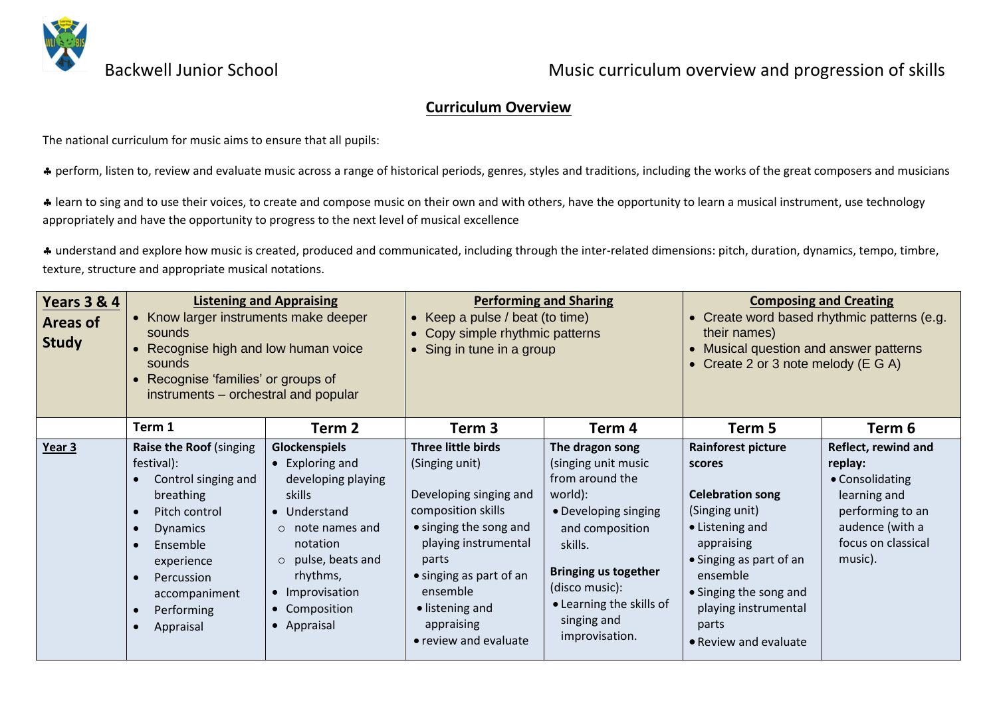

#### **Curriculum Overview**

The national curriculum for music aims to ensure that all pupils:

\* perform, listen to, review and evaluate music across a range of historical periods, genres, styles and traditions, including the works of the great composers and musicians

\* learn to sing and to use their voices, to create and compose music on their own and with others, have the opportunity to learn a musical instrument, use technology appropriately and have the opportunity to progress to the next level of musical excellence

 understand and explore how music is created, produced and communicated, including through the inter-related dimensions: pitch, duration, dynamics, tempo, timbre, texture, structure and appropriate musical notations.

| <b>Years 3 &amp; 4</b><br><b>Areas of</b><br><b>Study</b> | <b>Listening and Appraising</b><br>• Know larger instruments make deeper<br>sounds<br>• Recognise high and low human voice<br>sounds<br>• Recognise 'families' or groups of<br>instruments - orchestral and popular |                                                                                                                                                                                                                                        | <b>Performing and Sharing</b><br>Keep a pulse / beat (to time)<br>Copy simple rhythmic patterns<br>Sing in tune in a group                                                                                                                       |                                                                                                                                                                                                                                          | <b>Composing and Creating</b><br>• Create word based rhythmic patterns (e.g.<br>their names)<br>• Musical question and answer patterns<br>• Create 2 or 3 note melody (E G A)                                                                |                                                                                                                                           |
|-----------------------------------------------------------|---------------------------------------------------------------------------------------------------------------------------------------------------------------------------------------------------------------------|----------------------------------------------------------------------------------------------------------------------------------------------------------------------------------------------------------------------------------------|--------------------------------------------------------------------------------------------------------------------------------------------------------------------------------------------------------------------------------------------------|------------------------------------------------------------------------------------------------------------------------------------------------------------------------------------------------------------------------------------------|----------------------------------------------------------------------------------------------------------------------------------------------------------------------------------------------------------------------------------------------|-------------------------------------------------------------------------------------------------------------------------------------------|
|                                                           | Term 1                                                                                                                                                                                                              | Term 2                                                                                                                                                                                                                                 | Term 3                                                                                                                                                                                                                                           | Term 4                                                                                                                                                                                                                                   | Term 5                                                                                                                                                                                                                                       | Term 6                                                                                                                                    |
| Year 3                                                    | Raise the Roof (singing<br>festival):<br>Control singing and<br>breathing<br>Pitch control<br><b>Dynamics</b><br>Ensemble<br>experience<br>Percussion<br>accompaniment<br>Performing<br>Appraisal                   | <b>Glockenspiels</b><br>$\bullet$ Exploring and<br>developing playing<br>skills<br>• Understand<br>note names and<br>$\circ$<br>notation<br>pulse, beats and<br>$\circ$<br>rhythms,<br>• Improvisation<br>• Composition<br>• Appraisal | Three little birds<br>(Singing unit)<br>Developing singing and<br>composition skills<br>• singing the song and<br>playing instrumental<br>parts<br>• singing as part of an<br>ensemble<br>• listening and<br>appraising<br>• review and evaluate | The dragon song<br>(singing unit music<br>from around the<br>world):<br>• Developing singing<br>and composition<br>skills.<br><b>Bringing us together</b><br>(disco music):<br>• Learning the skills of<br>singing and<br>improvisation. | <b>Rainforest picture</b><br>scores<br><b>Celebration song</b><br>(Singing unit)<br>• Listening and<br>appraising<br>• Singing as part of an<br>ensemble<br>• Singing the song and<br>playing instrumental<br>parts<br>• Review and evaluate | Reflect, rewind and<br>replay:<br>• Consolidating<br>learning and<br>performing to an<br>audence (with a<br>focus on classical<br>music). |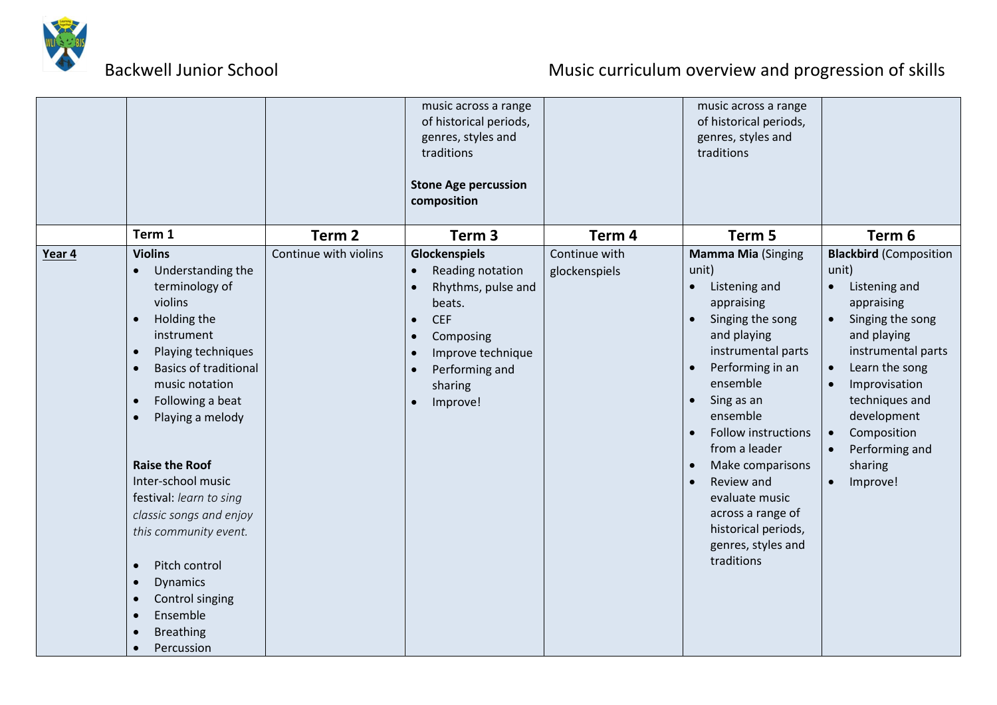

|        |                                                                                                                                                                                                                                                                                                                                                                                                                                                                                    |                                            | music across a range<br>of historical periods,<br>genres, styles and<br>traditions<br><b>Stone Age percussion</b>                                                                                                                                     |                                    | music across a range<br>of historical periods,<br>genres, styles and<br>traditions                                                                                                                                                                                                                                                                                                   |                                                                                                                                                                                                                                                                                                                                                       |
|--------|------------------------------------------------------------------------------------------------------------------------------------------------------------------------------------------------------------------------------------------------------------------------------------------------------------------------------------------------------------------------------------------------------------------------------------------------------------------------------------|--------------------------------------------|-------------------------------------------------------------------------------------------------------------------------------------------------------------------------------------------------------------------------------------------------------|------------------------------------|--------------------------------------------------------------------------------------------------------------------------------------------------------------------------------------------------------------------------------------------------------------------------------------------------------------------------------------------------------------------------------------|-------------------------------------------------------------------------------------------------------------------------------------------------------------------------------------------------------------------------------------------------------------------------------------------------------------------------------------------------------|
|        |                                                                                                                                                                                                                                                                                                                                                                                                                                                                                    |                                            | composition                                                                                                                                                                                                                                           |                                    |                                                                                                                                                                                                                                                                                                                                                                                      |                                                                                                                                                                                                                                                                                                                                                       |
|        | Term 1<br><b>Violins</b>                                                                                                                                                                                                                                                                                                                                                                                                                                                           | Term <sub>2</sub><br>Continue with violins | Term <sub>3</sub>                                                                                                                                                                                                                                     | Term <sub>4</sub><br>Continue with | Term 5                                                                                                                                                                                                                                                                                                                                                                               | Term 6                                                                                                                                                                                                                                                                                                                                                |
| Year 4 | Understanding the<br>terminology of<br>violins<br>Holding the<br>$\bullet$<br>instrument<br>Playing techniques<br><b>Basics of traditional</b><br>music notation<br>Following a beat<br>$\bullet$<br>Playing a melody<br>$\bullet$<br><b>Raise the Roof</b><br>Inter-school music<br>festival: learn to sing<br>classic songs and enjoy<br>this community event.<br>Pitch control<br>$\bullet$<br><b>Dynamics</b><br>Control singing<br>Ensemble<br><b>Breathing</b><br>Percussion |                                            | Glockenspiels<br>Reading notation<br>$\bullet$<br>Rhythms, pulse and<br>$\bullet$<br>beats.<br><b>CEF</b><br>$\bullet$<br>Composing<br>$\bullet$<br>Improve technique<br>$\bullet$<br>Performing and<br>$\bullet$<br>sharing<br>Improve!<br>$\bullet$ | glockenspiels                      | <b>Mamma Mia (Singing</b><br>unit)<br>Listening and<br>$\bullet$<br>appraising<br>Singing the song<br>and playing<br>instrumental parts<br>Performing in an<br>ensemble<br>Sing as an<br>ensemble<br><b>Follow instructions</b><br>from a leader<br>Make comparisons<br>Review and<br>evaluate music<br>across a range of<br>historical periods,<br>genres, styles and<br>traditions | <b>Blackbird</b> (Composition<br>unit)<br>Listening and<br>$\bullet$<br>appraising<br>Singing the song<br>$\bullet$<br>and playing<br>instrumental parts<br>Learn the song<br>$\bullet$<br>Improvisation<br>$\bullet$<br>techniques and<br>development<br>Composition<br>$\bullet$<br>Performing and<br>$\bullet$<br>sharing<br>Improve!<br>$\bullet$ |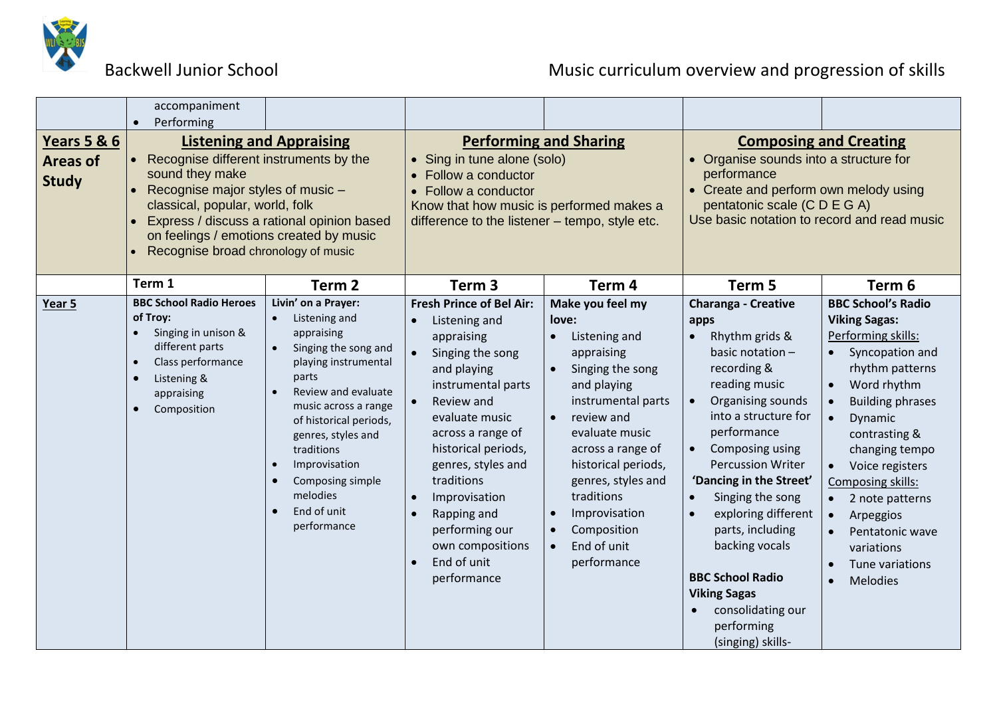

|                                                           | accompaniment                                                                                                                                                                                                                                                                                                      |                                                                                                                                                                                                                                                                                                                      |                                                                                                                                                                                                                                                                                                                                                                       |                                                                                                                                                                                                                                                                                                 |                                                                                                                                                                                                                                                                                                                                                                                                                                                        |                                                                                                                                                                                                                                                                                                                                                                                                                |
|-----------------------------------------------------------|--------------------------------------------------------------------------------------------------------------------------------------------------------------------------------------------------------------------------------------------------------------------------------------------------------------------|----------------------------------------------------------------------------------------------------------------------------------------------------------------------------------------------------------------------------------------------------------------------------------------------------------------------|-----------------------------------------------------------------------------------------------------------------------------------------------------------------------------------------------------------------------------------------------------------------------------------------------------------------------------------------------------------------------|-------------------------------------------------------------------------------------------------------------------------------------------------------------------------------------------------------------------------------------------------------------------------------------------------|--------------------------------------------------------------------------------------------------------------------------------------------------------------------------------------------------------------------------------------------------------------------------------------------------------------------------------------------------------------------------------------------------------------------------------------------------------|----------------------------------------------------------------------------------------------------------------------------------------------------------------------------------------------------------------------------------------------------------------------------------------------------------------------------------------------------------------------------------------------------------------|
| <b>Years 5 &amp; 6</b><br><b>Areas of</b><br><b>Study</b> | Performing<br><b>Listening and Appraising</b><br>Recognise different instruments by the<br>sound they make<br>Recognise major styles of music -<br>classical, popular, world, folk<br>Express / discuss a rational opinion based<br>on feelings / emotions created by music<br>Recognise broad chronology of music |                                                                                                                                                                                                                                                                                                                      | <b>Performing and Sharing</b><br>• Sing in tune alone (solo)<br>• Follow a conductor<br>• Follow a conductor<br>Know that how music is performed makes a<br>difference to the listener - tempo, style etc.                                                                                                                                                            |                                                                                                                                                                                                                                                                                                 | <b>Composing and Creating</b><br>• Organise sounds into a structure for<br>performance<br>• Create and perform own melody using<br>pentatonic scale (C D E G A)<br>Use basic notation to record and read music                                                                                                                                                                                                                                         |                                                                                                                                                                                                                                                                                                                                                                                                                |
|                                                           | Term 1                                                                                                                                                                                                                                                                                                             | Term <sub>2</sub>                                                                                                                                                                                                                                                                                                    | Term <sub>3</sub>                                                                                                                                                                                                                                                                                                                                                     | Term <sub>4</sub>                                                                                                                                                                                                                                                                               | Term 5                                                                                                                                                                                                                                                                                                                                                                                                                                                 | Term 6                                                                                                                                                                                                                                                                                                                                                                                                         |
| Year 5                                                    | <b>BBC School Radio Heroes</b><br>of Troy:<br>Singing in unison &<br>different parts<br>Class performance<br>$\bullet$<br>Listening &<br>appraising<br>Composition                                                                                                                                                 | Livin' on a Prayer:<br>Listening and<br>appraising<br>Singing the song and<br>playing instrumental<br>parts<br>Review and evaluate<br>music across a range<br>of historical periods,<br>genres, styles and<br>traditions<br>Improvisation<br>$\bullet$<br>Composing simple<br>melodies<br>End of unit<br>performance | <b>Fresh Prince of Bel Air:</b><br>Listening and<br>appraising<br>Singing the song<br>$\bullet$<br>and playing<br>instrumental parts<br>Review and<br>evaluate music<br>across a range of<br>historical periods,<br>genres, styles and<br>traditions<br>Improvisation<br>$\bullet$<br>Rapping and<br>performing our<br>own compositions<br>End of unit<br>performance | Make you feel my<br>love:<br>Listening and<br>appraising<br>Singing the song<br>and playing<br>instrumental parts<br>review and<br>evaluate music<br>across a range of<br>historical periods,<br>genres, styles and<br>traditions<br>Improvisation<br>Composition<br>End of unit<br>performance | <b>Charanga - Creative</b><br>apps<br>Rhythm grids &<br>basic notation -<br>recording &<br>reading music<br>Organising sounds<br>into a structure for<br>performance<br>Composing using<br>$\bullet$<br><b>Percussion Writer</b><br>'Dancing in the Street'<br>Singing the song<br>exploring different<br>parts, including<br>backing vocals<br><b>BBC School Radio</b><br><b>Viking Sagas</b><br>consolidating our<br>performing<br>(singing) skills- | <b>BBC School's Radio</b><br><b>Viking Sagas:</b><br>Performing skills:<br>Syncopation and<br>rhythm patterns<br>Word rhythm<br>$\bullet$<br><b>Building phrases</b><br>$\bullet$<br>Dynamic<br>$\bullet$<br>contrasting &<br>changing tempo<br>Voice registers<br>$\bullet$<br>Composing skills:<br>2 note patterns<br>Arpeggios<br>$\bullet$<br>Pentatonic wave<br>variations<br>Tune variations<br>Melodies |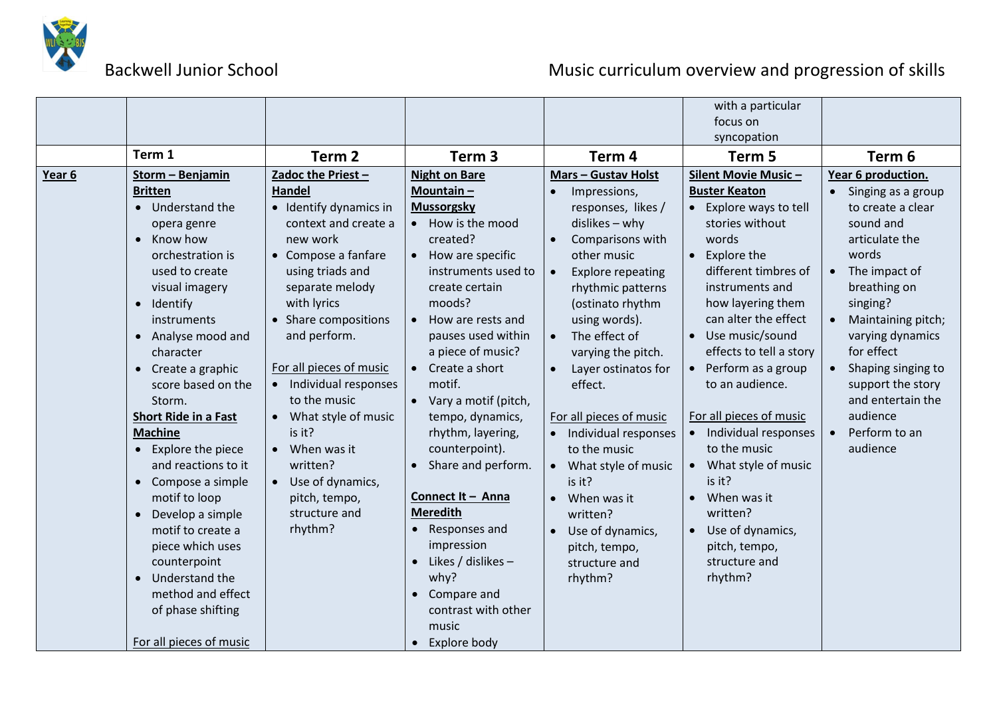

|        |                               |                                      |                                       |                            | with a particular        |                                        |
|--------|-------------------------------|--------------------------------------|---------------------------------------|----------------------------|--------------------------|----------------------------------------|
|        |                               |                                      |                                       |                            | focus on                 |                                        |
|        |                               |                                      |                                       |                            | syncopation              |                                        |
|        | Term 1                        | Term <sub>2</sub>                    | Term <sub>3</sub>                     | Term <sub>4</sub>          | Term 5                   | Term <sub>6</sub>                      |
| Year 6 | Storm - Benjamin              | Zadoc the Priest-                    | <b>Night on Bare</b>                  | <b>Mars - Gustav Holst</b> | Silent Movie Music-      | Year 6 production.                     |
|        | <b>Britten</b>                | <b>Handel</b>                        | Mountain-                             | Impressions,               | <b>Buster Keaton</b>     | Singing as a group<br>$\bullet$        |
|        | • Understand the              | • Identify dynamics in               | <b>Mussorgsky</b>                     | responses, likes /         | • Explore ways to tell   | to create a clear                      |
|        | opera genre                   | context and create a                 | • How is the mood                     | dislikes - why             | stories without          | sound and                              |
|        | Know how<br>$\bullet$         | new work                             | created?                              | Comparisons with           | words                    | articulate the                         |
|        | orchestration is              | • Compose a fanfare                  | • How are specific                    | other music                | Explore the<br>$\bullet$ | words                                  |
|        | used to create                | using triads and                     | instruments used to                   | <b>Explore repeating</b>   | different timbres of     | • The impact of                        |
|        | visual imagery                | separate melody                      | create certain                        | rhythmic patterns          | instruments and          | breathing on                           |
|        | Identify<br>$\bullet$         | with lyrics                          | moods?                                | (ostinato rhythm           | how layering them        | singing?                               |
|        | instruments                   | • Share compositions                 | How are rests and<br>$\bullet$        | using words).              | can alter the effect     | Maintaining pitch;<br>$\bullet$        |
|        | • Analyse mood and            | and perform.                         | pauses used within                    | The effect of              | • Use music/sound        | varying dynamics                       |
|        | character                     |                                      | a piece of music?                     | varying the pitch.         | effects to tell a story  | for effect                             |
|        | • Create a graphic            | For all pieces of music              | $\bullet$ Create a short<br>motif.    | Layer ostinatos for        | • Perform as a group     | Shaping singing to<br>$\bullet$        |
|        | score based on the<br>Storm.  | Individual responses<br>to the music |                                       | effect.                    | to an audience.          | support the story<br>and entertain the |
|        | <b>Short Ride in a Fast</b>   |                                      | • Vary a motif (pitch,                | For all pieces of music    | For all pieces of music  | audience                               |
|        | <b>Machine</b>                | • What style of music<br>is it?      | tempo, dynamics,<br>rhythm, layering, | Individual responses       | • Individual responses   | Perform to an<br>$\bullet$             |
|        | • Explore the piece           | $\bullet$ When was it                | counterpoint).                        | to the music               | to the music             | audience                               |
|        | and reactions to it           | written?                             | • Share and perform.                  | What style of music        | • What style of music    |                                        |
|        | Compose a simple<br>$\bullet$ | Use of dynamics,                     |                                       | is it?                     | is it?                   |                                        |
|        | motif to loop                 | pitch, tempo,                        | Connect It - Anna                     | When was it                | $\bullet$ When was it    |                                        |
|        | Develop a simple              | structure and                        | <b>Meredith</b>                       | written?                   | written?                 |                                        |
|        | motif to create a             | rhythm?                              | Responses and                         | Use of dynamics,           | Use of dynamics,         |                                        |
|        | piece which uses              |                                      | impression                            | pitch, tempo,              | pitch, tempo,            |                                        |
|        | counterpoint                  |                                      | Likes / dislikes -<br>$\bullet$       | structure and              | structure and            |                                        |
|        | Understand the<br>$\bullet$   |                                      | why?                                  | rhythm?                    | rhythm?                  |                                        |
|        | method and effect             |                                      | Compare and<br>$\bullet$              |                            |                          |                                        |
|        | of phase shifting             |                                      | contrast with other                   |                            |                          |                                        |
|        |                               |                                      | music                                 |                            |                          |                                        |
|        | For all pieces of music       |                                      | Explore body                          |                            |                          |                                        |